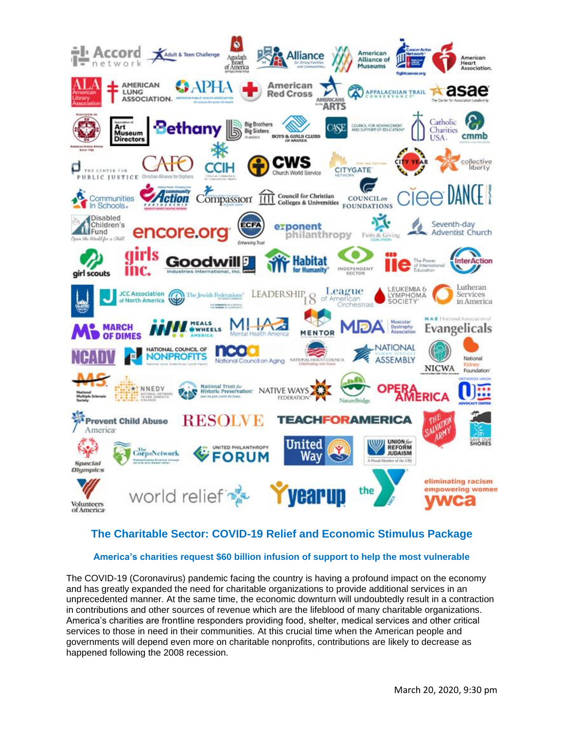

# **America's charities request \$60 billion infusion of support to help the most vulnerable**

The COVID-19 (Coronavirus) pandemic facing the country is having a profound impact on the economy and has greatly expanded the need for charitable organizations to provide additional services in an unprecedented manner. At the same time, the economic downturn will undoubtedly result in a contraction in contributions and other sources of revenue which are the lifeblood of many charitable organizations. America's charities are frontline responders providing food, shelter, medical services and other critical services to those in need in their communities. At this crucial time when the American people and governments will depend even more on charitable nonprofits, contributions are likely to decrease as happened following the 2008 recession.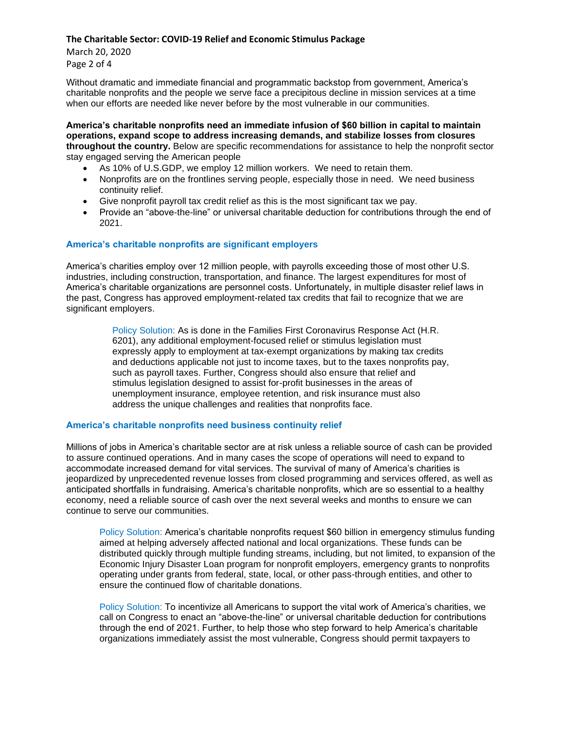March 20, 2020 Page 2 of 4

Without dramatic and immediate financial and programmatic backstop from government, America's charitable nonprofits and the people we serve face a precipitous decline in mission services at a time when our efforts are needed like never before by the most vulnerable in our communities.

**America's charitable nonprofits need an immediate infusion of \$60 billion in capital to maintain operations, expand scope to address increasing demands, and stabilize losses from closures throughout the country.** Below are specific recommendations for assistance to help the nonprofit sector stay engaged serving the American people

- As 10% of U.S.GDP, we employ 12 million workers. We need to retain them.
- Nonprofits are on the frontlines serving people, especially those in need. We need business continuity relief.
- Give nonprofit payroll tax credit relief as this is the most significant tax we pay.
- Provide an "above-the-line" or universal charitable deduction for contributions through the end of 2021.

### **America's charitable nonprofits are significant employers**

America's charities employ over 12 million people, with payrolls exceeding those of most other U.S. industries, including construction, transportation, and finance. The largest expenditures for most of America's charitable organizations are personnel costs. Unfortunately, in multiple disaster relief laws in the past, Congress has approved employment-related tax credits that fail to recognize that we are significant employers.

> Policy Solution: As is done in the Families First Coronavirus Response Act (H.R. 6201), any additional employment-focused relief or stimulus legislation must expressly apply to employment at tax-exempt organizations by making tax credits and deductions applicable not just to income taxes, but to the taxes nonprofits pay, such as payroll taxes. Further, Congress should also ensure that relief and stimulus legislation designed to assist for-profit businesses in the areas of unemployment insurance, employee retention, and risk insurance must also address the unique challenges and realities that nonprofits face.

### **America's charitable nonprofits need business continuity relief**

Millions of jobs in America's charitable sector are at risk unless a reliable source of cash can be provided to assure continued operations. And in many cases the scope of operations will need to expand to accommodate increased demand for vital services. The survival of many of America's charities is jeopardized by unprecedented revenue losses from closed programming and services offered, as well as anticipated shortfalls in fundraising. America's charitable nonprofits, which are so essential to a healthy economy, need a reliable source of cash over the next several weeks and months to ensure we can continue to serve our communities.

Policy Solution: America's charitable nonprofits request \$60 billion in emergency stimulus funding aimed at helping adversely affected national and local organizations. These funds can be distributed quickly through multiple funding streams, including, but not limited, to expansion of the Economic Injury Disaster Loan program for nonprofit employers, emergency grants to nonprofits operating under grants from federal, state, local, or other pass-through entities, and other to ensure the continued flow of charitable donations.

Policy Solution: To incentivize all Americans to support the vital work of America's charities, we call on Congress to enact an "above-the-line" or universal charitable deduction for contributions through the end of 2021. Further, to help those who step forward to help America's charitable organizations immediately assist the most vulnerable, Congress should permit taxpayers to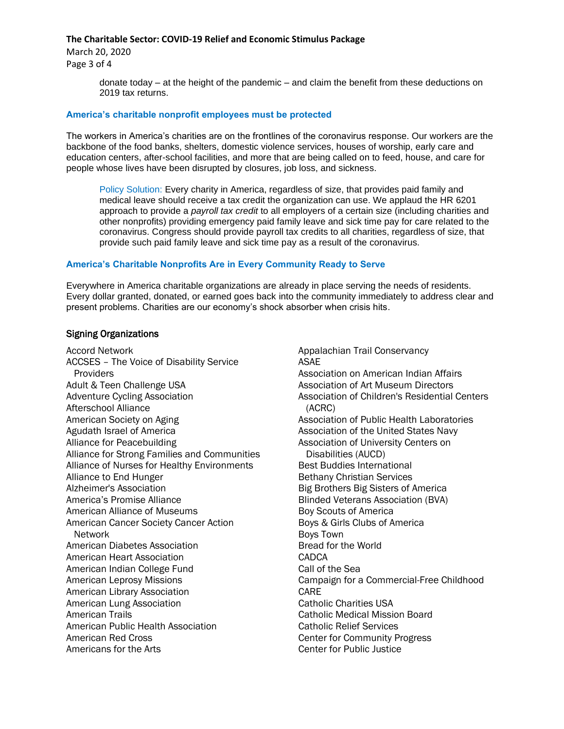March 20, 2020 Page 3 of 4

> donate today – at the height of the pandemic – and claim the benefit from these deductions on 2019 tax returns.

## **America's charitable nonprofit employees must be protected**

The workers in America's charities are on the frontlines of the coronavirus response. Our workers are the backbone of the food banks, shelters, domestic violence services, houses of worship, early care and education centers, after-school facilities, and more that are being called on to feed, house, and care for people whose lives have been disrupted by closures, job loss, and sickness.

Policy Solution: Every charity in America, regardless of size, that provides paid family and medical leave should receive a tax credit the organization can use. We applaud the HR 6201 approach to provide a *payroll tax credit* to all employers of a certain size (including charities and other nonprofits) providing emergency paid family leave and sick time pay for care related to the coronavirus. Congress should provide payroll tax credits to all charities, regardless of size, that provide such paid family leave and sick time pay as a result of the coronavirus.

## **America's Charitable Nonprofits Are in Every Community Ready to Serve**

Everywhere in America charitable organizations are already in place serving the needs of residents. Every dollar granted, donated, or earned goes back into the community immediately to address clear and present problems. Charities are our economy's shock absorber when crisis hits.

## Signing Organizations

Accord Network ACCSES – The Voice of Disability Service **Providers** Adult & Teen Challenge USA Adventure Cycling Association Afterschool Alliance American Society on Aging Agudath Israel of America Alliance for Peacebuilding Alliance for Strong Families and Communities Alliance of Nurses for Healthy Environments Alliance to End Hunger Alzheimer's Association America's Promise Alliance American Alliance of Museums American Cancer Society Cancer Action Network American Diabetes Association American Heart Association American Indian College Fund American Leprosy Missions American Library Association American Lung Association American Trails American Public Health Association American Red Cross Americans for the Arts

Appalachian Trail Conservancy ASAE Association on American Indian Affairs Association of Art Museum Directors Association of Children's Residential Centers (ACRC) Association of Public Health Laboratories Association of the United States Navy Association of University Centers on Disabilities (AUCD) Best Buddies International Bethany Christian Services Big Brothers Big Sisters of America Blinded Veterans Association (BVA) Boy Scouts of America Boys & Girls Clubs of America Boys Town Bread for the World **CADCA** Call of the Sea Campaign for a Commercial-Free Childhood CARE Catholic Charities USA Catholic Medical Mission Board Catholic Relief Services Center for Community Progress Center for Public Justice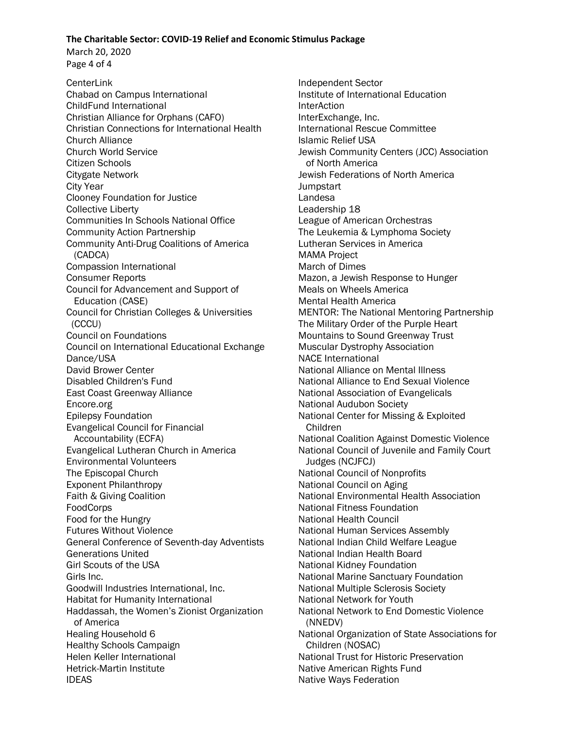March 20, 2020 Page 4 of 4

**CenterLink** Chabad on Campus International ChildFund International Christian Alliance for Orphans (CAFO) Christian Connections for International Health Church Alliance Church World Service Citizen Schools Citygate Network City Year Clooney Foundation for Justice Collective Liberty Communities In Schools National Office Community Action Partnership Community Anti-Drug Coalitions of America (CADCA) Compassion International Consumer Reports Council for Advancement and Support of Education (CASE) Council for Christian Colleges & Universities (CCCU) Council on Foundations Council on International Educational Exchange Dance/USA David Brower Center Disabled Children's Fund East Coast Greenway Alliance Encore.org Epilepsy Foundation Evangelical Council for Financial Accountability (ECFA) Evangelical Lutheran Church in America Environmental Volunteers The Episcopal Church Exponent Philanthropy Faith & Giving Coalition **FoodCorps** Food for the Hungry Futures Without Violence General Conference of Seventh-day Adventists Generations United Girl Scouts of the USA Girls Inc. Goodwill Industries International, Inc. Habitat for Humanity International Haddassah, the Women's Zionist Organization of America Healing Household 6 Healthy Schools Campaign Helen Keller International Hetrick-Martin Institute IDEAS

Independent Sector Institute of International Education InterAction InterExchange, Inc. International Rescue Committee Islamic Relief USA Jewish Community Centers (JCC) Association of North America Jewish Federations of North America **Jumpstart** Landesa Leadership 18 League of American Orchestras The Leukemia & Lymphoma Society Lutheran Services in America MAMA Project March of Dimes Mazon, a Jewish Response to Hunger Meals on Wheels America Mental Health America MENTOR: The National Mentoring Partnership The Military Order of the Purple Heart Mountains to Sound Greenway Trust Muscular Dystrophy Association NACE International National Alliance on Mental Illness National Alliance to End Sexual Violence National Association of Evangelicals National Audubon Society National Center for Missing & Exploited Children National Coalition Against Domestic Violence National Council of Juvenile and Family Court Judges (NCJFCJ) National Council of Nonprofits National Council on Aging National Environmental Health Association National Fitness Foundation National Health Council National Human Services Assembly National Indian Child Welfare League National Indian Health Board National Kidney Foundation National Marine Sanctuary Foundation National Multiple Sclerosis Society National Network for Youth National Network to End Domestic Violence (NNEDV) National Organization of State Associations for Children (NOSAC) National Trust for Historic Preservation Native American Rights Fund Native Ways Federation